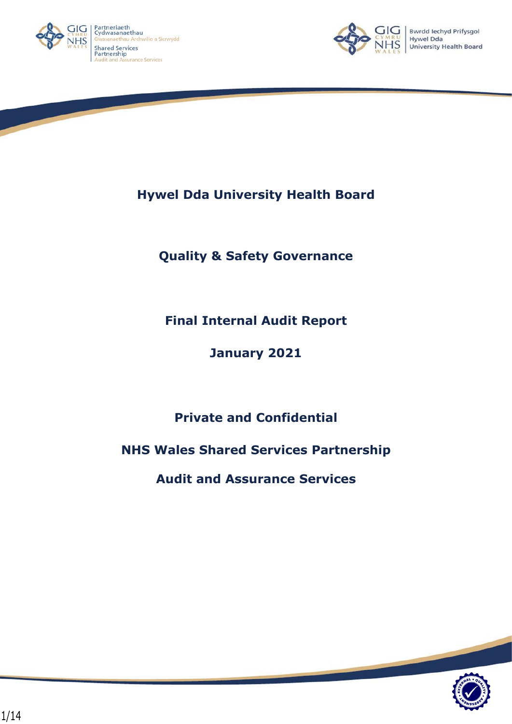



**Hywel Dda University Health Board**

**Quality & Safety Governance**

**Final Internal Audit Report**

**January 2021**

**Private and Confidential**

**NHS Wales Shared Services Partnership**

**Audit and Assurance Services**

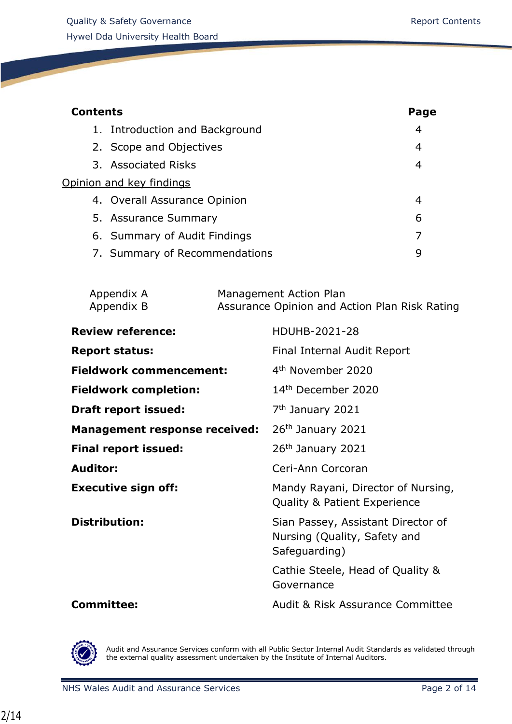| <b>Contents</b>                | Page           |
|--------------------------------|----------------|
| 1. Introduction and Background | $\overline{4}$ |
| 2. Scope and Objectives        | 4              |
| 3. Associated Risks            | 4              |
| Opinion and key findings       |                |
| 4. Overall Assurance Opinion   | 4              |
| 5. Assurance Summary           | 6              |
| 6. Summary of Audit Findings   |                |
| 7. Summary of Recommendations  | q              |
|                                |                |

| Appendix A | Management Action Plan                        |
|------------|-----------------------------------------------|
| Appendix B | Assurance Opinion and Action Plan Risk Rating |

| <b>Review reference:</b>             | HDUHB-2021-28                                                                       |
|--------------------------------------|-------------------------------------------------------------------------------------|
| <b>Report status:</b>                | Final Internal Audit Report                                                         |
| <b>Fieldwork commencement:</b>       | 4 <sup>th</sup> November 2020                                                       |
| <b>Fieldwork completion:</b>         | 14 <sup>th</sup> December 2020                                                      |
| <b>Draft report issued:</b>          | 7 <sup>th</sup> January 2021                                                        |
| <b>Management response received:</b> | 26 <sup>th</sup> January 2021                                                       |
| <b>Final report issued:</b>          | 26 <sup>th</sup> January 2021                                                       |
| Auditor:                             | Ceri-Ann Corcoran                                                                   |
| <b>Executive sign off:</b>           | Mandy Rayani, Director of Nursing,<br><b>Quality &amp; Patient Experience</b>       |
| <b>Distribution:</b>                 | Sian Passey, Assistant Director of<br>Nursing (Quality, Safety and<br>Safeguarding) |
|                                      | Cathie Steele, Head of Quality &<br>Governance                                      |
| <b>Committee:</b>                    | Audit & Risk Assurance Committee                                                    |



Audit and Assurance Services conform with all Public Sector Internal Audit Standards as validated through the external quality assessment undertaken by the Institute of Internal Auditors.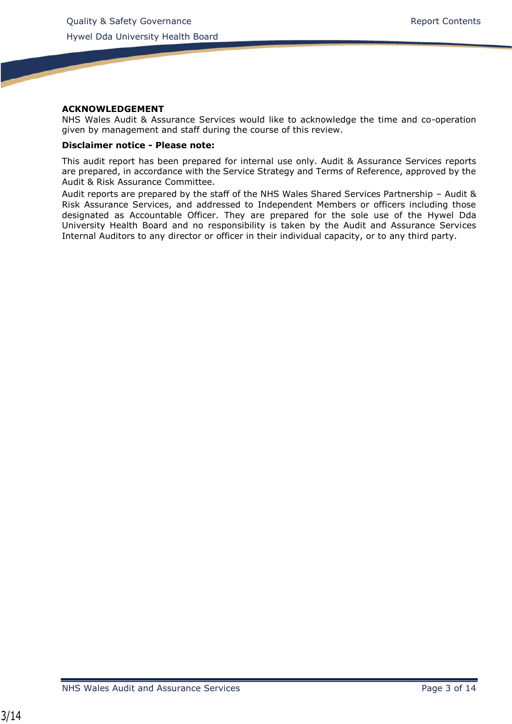#### **ACKNOWLEDGEMENT**

NHS Wales Audit & Assurance Services would like to acknowledge the time and co-operation given by management and staff during the course of this review.

#### **Disclaimer notice - Please note:**

This audit report has been prepared for internal use only. Audit & Assurance Services reports are prepared, in accordance with the Service Strategy and Terms of Reference, approved by the Audit & Risk Assurance Committee.

Audit reports are prepared by the staff of the NHS Wales Shared Services Partnership – Audit & Risk Assurance Services, and addressed to Independent Members or officers including those designated as Accountable Officer. They are prepared for the sole use of the Hywel Dda University Health Board and no responsibility is taken by the Audit and Assurance Services Internal Auditors to any director or officer in their individual capacity, or to any third party.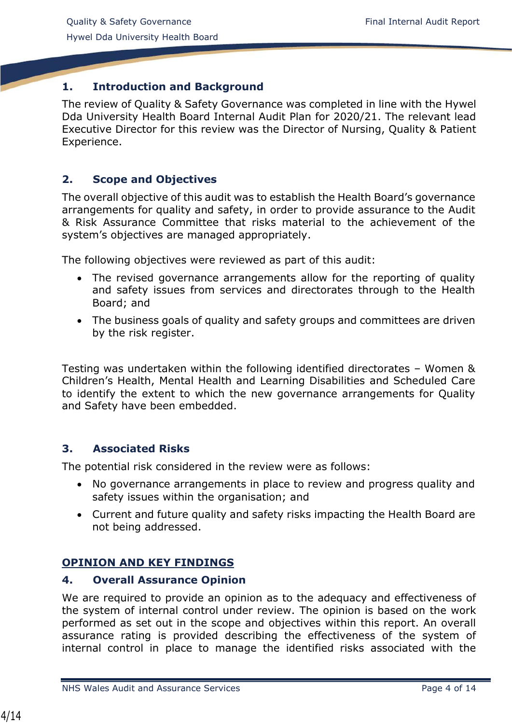# <span id="page-3-0"></span>**1. Introduction and Background**

<span id="page-3-1"></span>The review of Quality & Safety Governance was completed in line with the Hywel Dda University Health Board Internal Audit Plan for 2020/21. The relevant lead Executive Director for this review was the Director of Nursing, Quality & Patient Experience.

# **2. Scope and Objectives**

The overall objective of this audit was to establish the Health Board's governance arrangements for quality and safety, in order to provide assurance to the Audit & Risk Assurance Committee that risks material to the achievement of the system's objectives are managed appropriately.

The following objectives were reviewed as part of this audit:

- The revised governance arrangements allow for the reporting of quality and safety issues from services and directorates through to the Health Board; and
- The business goals of quality and safety groups and committees are driven by the risk register.

Testing was undertaken within the following identified directorates – Women & Children's Health, Mental Health and Learning Disabilities and Scheduled Care to identify the extent to which the new governance arrangements for Quality and Safety have been embedded.

## <span id="page-3-2"></span>**3. Associated Risks**

The potential risk considered in the review were as follows:

- No governance arrangements in place to review and progress quality and safety issues within the organisation; and
- Current and future quality and safety risks impacting the Health Board are not being addressed.

# **OPINION AND KEY FINDINGS**

#### <span id="page-3-3"></span>**4. Overall Assurance Opinion**

We are required to provide an opinion as to the adequacy and effectiveness of the system of internal control under review. The opinion is based on the work performed as set out in the scope and objectives within this report. An overall assurance rating is provided describing the effectiveness of the system of internal control in place to manage the identified risks associated with the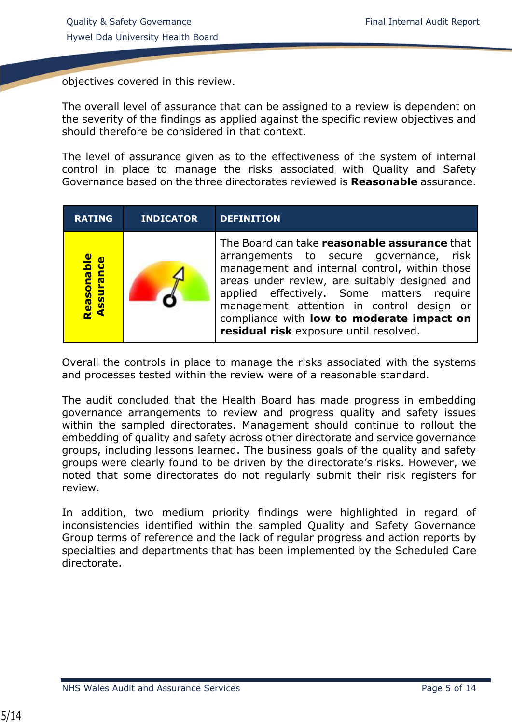objectives covered in this review.

The overall level of assurance that can be assigned to a review is dependent on the severity of the findings as applied against the specific review objectives and should therefore be considered in that context.

The level of assurance given as to the effectiveness of the system of internal control in place to manage the risks associated with Quality and Safety Governance based on the three directorates reviewed is **Reasonable** assurance.

| <b>RATING</b>           | <b>INDICATOR</b> | <b>DEFINITION</b>                                                                                                                                                                                                                                                                                                                                                          |
|-------------------------|------------------|----------------------------------------------------------------------------------------------------------------------------------------------------------------------------------------------------------------------------------------------------------------------------------------------------------------------------------------------------------------------------|
| Reasonable<br>Assurance |                  | The Board can take reasonable assurance that<br>arrangements to secure governance, risk<br>management and internal control, within those<br>areas under review, are suitably designed and<br>applied effectively. Some matters require<br>management attention in control design or<br>compliance with low to moderate impact on<br>residual risk exposure until resolved. |

Overall the controls in place to manage the risks associated with the systems and processes tested within the review were of a reasonable standard.

The audit concluded that the Health Board has made progress in embedding governance arrangements to review and progress quality and safety issues within the sampled directorates. Management should continue to rollout the embedding of quality and safety across other directorate and service governance groups, including lessons learned. The business goals of the quality and safety groups were clearly found to be driven by the directorate's risks. However, we noted that some directorates do not regularly submit their risk registers for review.

In addition, two medium priority findings were highlighted in regard of inconsistencies identified within the sampled Quality and Safety Governance Group terms of reference and the lack of regular progress and action reports by specialties and departments that has been implemented by the Scheduled Care directorate.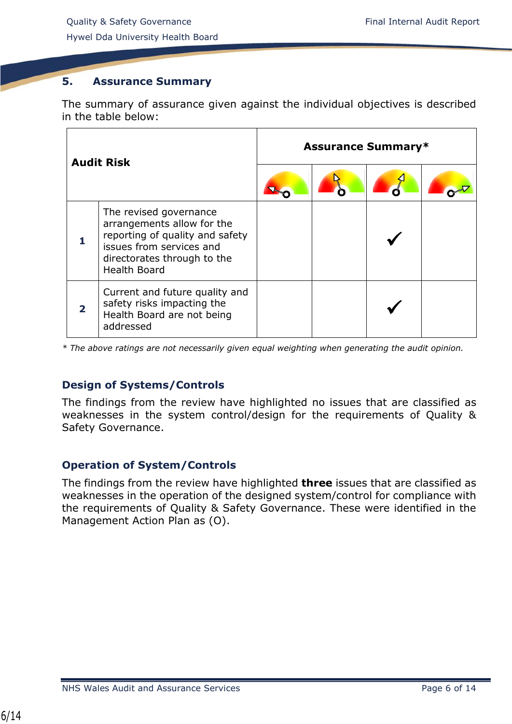# <span id="page-5-0"></span>**5. Assurance Summary**

The summary of assurance given against the individual objectives is described in the table below:

| <b>Audit Risk</b>                                                                                                                                                         | <b>Assurance Summary*</b> |  |  |  |
|---------------------------------------------------------------------------------------------------------------------------------------------------------------------------|---------------------------|--|--|--|
|                                                                                                                                                                           |                           |  |  |  |
| The revised governance<br>arrangements allow for the<br>reporting of quality and safety<br>issues from services and<br>directorates through to the<br><b>Health Board</b> |                           |  |  |  |
| Current and future quality and<br>safety risks impacting the<br>Health Board are not being<br>addressed                                                                   |                           |  |  |  |

*\* The above ratings are not necessarily given equal weighting when generating the audit opinion.*

# **Design of Systems/Controls**

The findings from the review have highlighted no issues that are classified as weaknesses in the system control/design for the requirements of Quality & Safety Governance.

## **Operation of System/Controls**

<span id="page-5-1"></span>The findings from the review have highlighted **three** issues that are classified as weaknesses in the operation of the designed system/control for compliance with the requirements of Quality & Safety Governance. These were identified in the Management Action Plan as (O).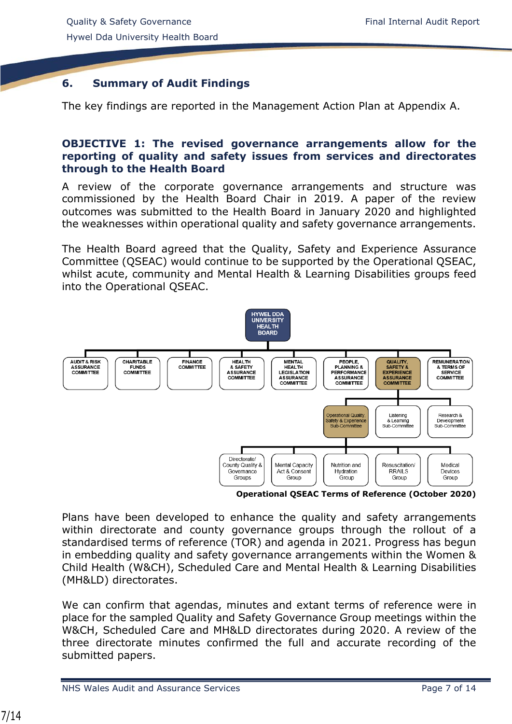# **6. Summary of Audit Findings**

The key findings are reported in the Management Action Plan at Appendix A.

## **OBJECTIVE 1: The revised governance arrangements allow for the reporting of quality and safety issues from services and directorates through to the Health Board**

A review of the corporate governance arrangements and structure was commissioned by the Health Board Chair in 2019. A paper of the review outcomes was submitted to the Health Board in January 2020 and highlighted the weaknesses within operational quality and safety governance arrangements.

The Health Board agreed that the Quality, Safety and Experience Assurance Committee (QSEAC) would continue to be supported by the Operational QSEAC, whilst acute, community and Mental Health & Learning Disabilities groups feed into the Operational QSEAC.



**Operational QSEAC Terms of Reference (October 2020)**

Plans have been developed to enhance the quality and safety arrangements within directorate and county governance groups through the rollout of a standardised terms of reference (TOR) and agenda in 2021. Progress has begun in embedding quality and safety governance arrangements within the Women & Child Health (W&CH), Scheduled Care and Mental Health & Learning Disabilities (MH&LD) directorates.

We can confirm that agendas, minutes and extant terms of reference were in place for the sampled Quality and Safety Governance Group meetings within the W&CH, Scheduled Care and MH&LD directorates during 2020. A review of the three directorate minutes confirmed the full and accurate recording of the submitted papers.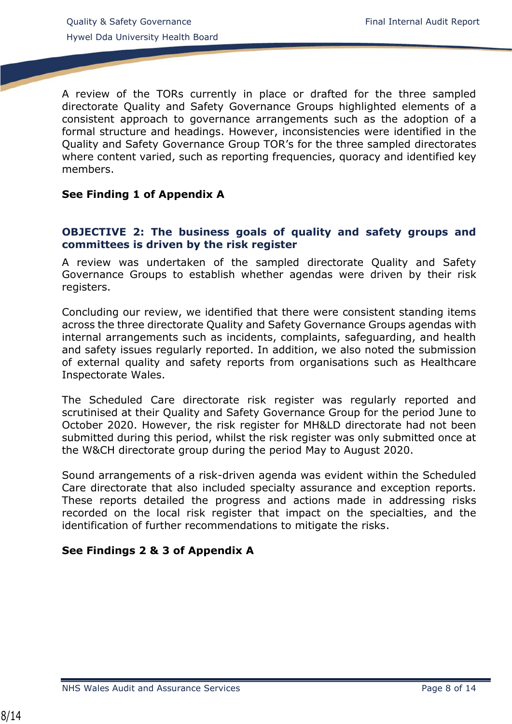A review of the TORs currently in place or drafted for the three sampled directorate Quality and Safety Governance Groups highlighted elements of a consistent approach to governance arrangements such as the adoption of a formal structure and headings. However, inconsistencies were identified in the Quality and Safety Governance Group TOR's for the three sampled directorates where content varied, such as reporting frequencies, quoracy and identified key members.

## **See Finding 1 of Appendix A**

#### **OBJECTIVE 2: The business goals of quality and safety groups and committees is driven by the risk register**

A review was undertaken of the sampled directorate Quality and Safety Governance Groups to establish whether agendas were driven by their risk registers.

Concluding our review, we identified that there were consistent standing items across the three directorate Quality and Safety Governance Groups agendas with internal arrangements such as incidents, complaints, safeguarding, and health and safety issues regularly reported. In addition, we also noted the submission of external quality and safety reports from organisations such as Healthcare Inspectorate Wales.

The Scheduled Care directorate risk register was regularly reported and scrutinised at their Quality and Safety Governance Group for the period June to October 2020. However, the risk register for MH&LD directorate had not been submitted during this period, whilst the risk register was only submitted once at the W&CH directorate group during the period May to August 2020.

Sound arrangements of a risk-driven agenda was evident within the Scheduled Care directorate that also included specialty assurance and exception reports. These reports detailed the progress and actions made in addressing risks recorded on the local risk register that impact on the specialties, and the identification of further recommendations to mitigate the risks.

## **See Findings 2 & 3 of Appendix A**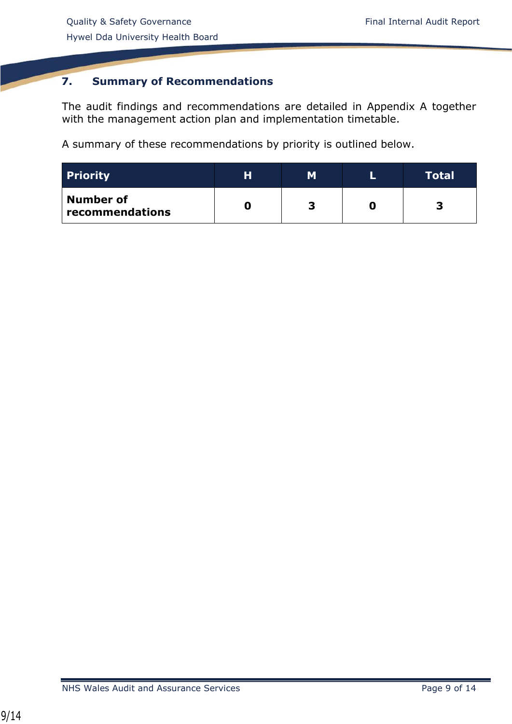# **7. Summary of Recommendations**

The audit findings and recommendations are detailed in Appendix A together with the management action plan and implementation timetable.

A summary of these recommendations by priority is outlined below.

| <b>Priority</b>              | н | м | Total |
|------------------------------|---|---|-------|
| Number of<br>recommendations |   |   |       |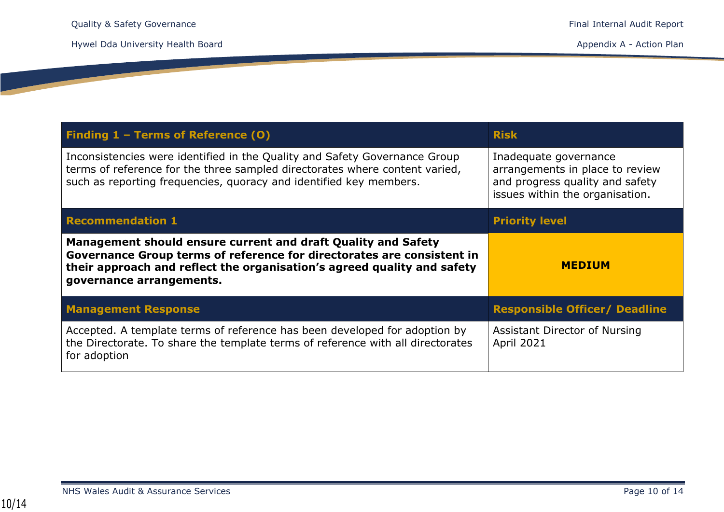<u>a sa sa</u>

| Finding 1 - Terms of Reference (0)                                                                                                                                                                                              | <b>Risk</b>                                                                                                                    |
|---------------------------------------------------------------------------------------------------------------------------------------------------------------------------------------------------------------------------------|--------------------------------------------------------------------------------------------------------------------------------|
| Inconsistencies were identified in the Quality and Safety Governance Group<br>terms of reference for the three sampled directorates where content varied,<br>such as reporting frequencies, quoracy and identified key members. | Inadequate governance<br>arrangements in place to review<br>and progress quality and safety<br>issues within the organisation. |
| <b>Recommendation 1</b>                                                                                                                                                                                                         | <b>Priority level</b>                                                                                                          |
| Management should ensure current and draft Quality and Safety                                                                                                                                                                   |                                                                                                                                |
| Governance Group terms of reference for directorates are consistent in<br>their approach and reflect the organisation's agreed quality and safety<br>governance arrangements.                                                   | <b>MEDIUM</b>                                                                                                                  |
| <b>Management Response</b>                                                                                                                                                                                                      | <b>Responsible Officer/ Deadline</b>                                                                                           |

NHS Wales Audit & Assurance Services **Page 10 of 14**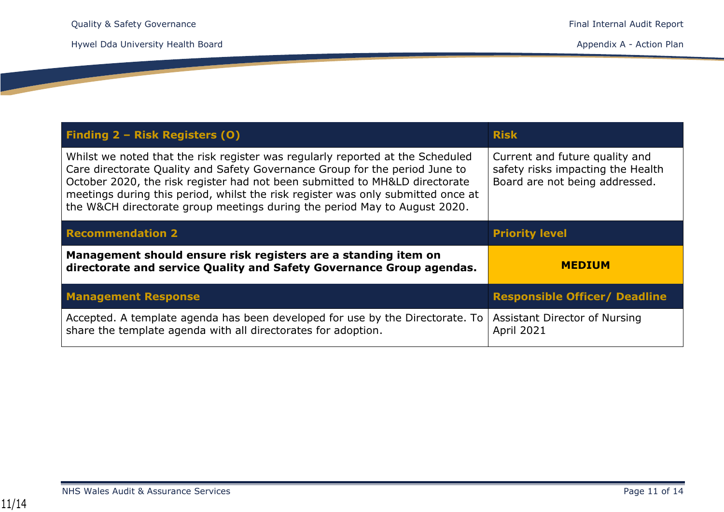**Contract Contract** 

| Finding 2 - Risk Registers (0)                                                                                                                                                                                                                                                                                                                                                                                | <b>Risk</b>                                                                                           |
|---------------------------------------------------------------------------------------------------------------------------------------------------------------------------------------------------------------------------------------------------------------------------------------------------------------------------------------------------------------------------------------------------------------|-------------------------------------------------------------------------------------------------------|
| Whilst we noted that the risk register was regularly reported at the Scheduled<br>Care directorate Quality and Safety Governance Group for the period June to<br>October 2020, the risk register had not been submitted to MH&LD directorate<br>meetings during this period, whilst the risk register was only submitted once at<br>the W&CH directorate group meetings during the period May to August 2020. | Current and future quality and<br>safety risks impacting the Health<br>Board are not being addressed. |
| <b>Recommendation 2</b>                                                                                                                                                                                                                                                                                                                                                                                       | <b>Priority level</b>                                                                                 |
|                                                                                                                                                                                                                                                                                                                                                                                                               |                                                                                                       |
| Management should ensure risk registers are a standing item on<br>directorate and service Quality and Safety Governance Group agendas.                                                                                                                                                                                                                                                                        | <b>MEDIUM</b>                                                                                         |
| <b>Management Response</b>                                                                                                                                                                                                                                                                                                                                                                                    | <b>Responsible Officer/ Deadline</b>                                                                  |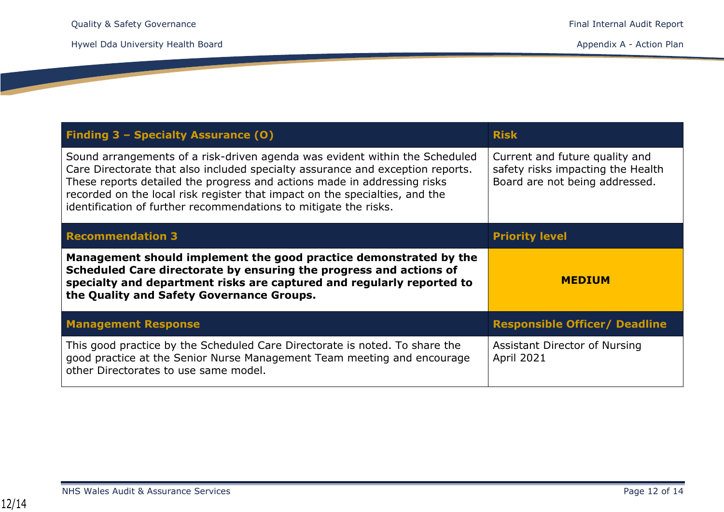**Contract Contract State** 

| Finding 3 - Specialty Assurance (0)                                                                                                                                                                                                                                                                                                                                                          | <b>Risk</b>                                                                                           |
|----------------------------------------------------------------------------------------------------------------------------------------------------------------------------------------------------------------------------------------------------------------------------------------------------------------------------------------------------------------------------------------------|-------------------------------------------------------------------------------------------------------|
| Sound arrangements of a risk-driven agenda was evident within the Scheduled<br>Care Directorate that also included specialty assurance and exception reports.<br>These reports detailed the progress and actions made in addressing risks<br>recorded on the local risk register that impact on the specialties, and the<br>identification of further recommendations to mitigate the risks. | Current and future quality and<br>safety risks impacting the Health<br>Board are not being addressed. |
| <b>Recommendation 3</b>                                                                                                                                                                                                                                                                                                                                                                      | <b>Priority level</b>                                                                                 |
| Management should implement the good practice demonstrated by the<br>Scheduled Care directorate by ensuring the progress and actions of<br>specialty and department risks are captured and regularly reported to<br>the Quality and Safety Governance Groups.                                                                                                                                | <b>MEDIUM</b>                                                                                         |
| <b>Management Response</b>                                                                                                                                                                                                                                                                                                                                                                   | <b>Responsible Officer/ Deadline</b>                                                                  |
| This good practice by the Scheduled Care Directorate is noted. To share the<br>good practice at the Senior Nurse Management Team meeting and encourage<br>other Directorates to use same model.                                                                                                                                                                                              | Assistant Director of Nursing<br><b>April 2021</b>                                                    |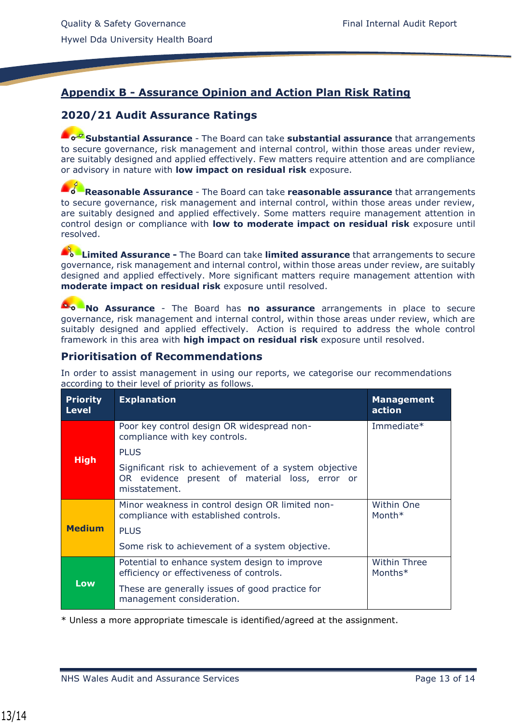# **Appendix B - Assurance Opinion and Action Plan Risk Rating**

## **2020/21 Audit Assurance Ratings**

**Substantial Assurance** - The Board can take **substantial assurance** that arrangements to secure governance, risk management and internal control, within those areas under review, are suitably designed and applied effectively. Few matters require attention and are compliance or advisory in nature with **low impact on residual risk** exposure.

**Reasonable Assurance** - The Board can take **reasonable assurance** that arrangements to secure governance, risk management and internal control, within those areas under review, are suitably designed and applied effectively. Some matters require management attention in control design or compliance with **low to moderate impact on residual risk** exposure until resolved.

**Limited Assurance -** The Board can take **limited assurance** that arrangements to secure governance, risk management and internal control, within those areas under review, are suitably designed and applied effectively. More significant matters require management attention with **moderate impact on residual risk** exposure until resolved.

**No Assurance** - The Board has **no assurance** arrangements in place to secure governance, risk management and internal control, within those areas under review, which are suitably designed and applied effectively. Action is required to address the whole control framework in this area with **high impact on residual risk** exposure until resolved.

#### **Prioritisation of Recommendations**

In order to assist management in using our reports, we categorise our recommendations according to their level of priority as follows.

| <b>Priority</b><br><b>Level</b> | <b>Explanation</b>                                                                                                       | <b>Management</b><br>action |
|---------------------------------|--------------------------------------------------------------------------------------------------------------------------|-----------------------------|
|                                 | Poor key control design OR widespread non-<br>compliance with key controls.                                              | Immediate*                  |
|                                 | <b>PLUS</b>                                                                                                              |                             |
| <b>High</b>                     | Significant risk to achievement of a system objective<br>OR evidence present of material loss, error or<br>misstatement. |                             |
|                                 | Minor weakness in control design OR limited non-<br>compliance with established controls.                                | Within One<br>Month*        |
| <b>Medium</b>                   | <b>PLUS</b>                                                                                                              |                             |
|                                 | Some risk to achievement of a system objective.                                                                          |                             |
|                                 | Potential to enhance system design to improve<br>efficiency or effectiveness of controls.                                | Within Three<br>Months*     |
| Low                             | These are generally issues of good practice for<br>management consideration.                                             |                             |

\* Unless a more appropriate timescale is identified/agreed at the assignment.